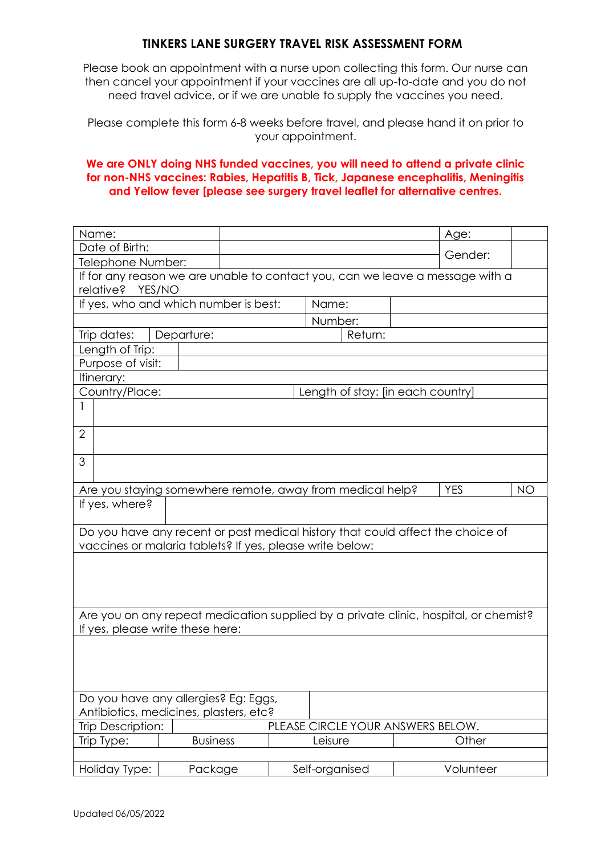## **TINKERS LANE SURGERY TRAVEL RISK ASSESSMENT FORM**

Please book an appointment with a nurse upon collecting this form. Our nurse can then cancel your appointment if your vaccines are all up-to-date and you do not need travel advice, or if we are unable to supply the vaccines you need.

Please complete this form 6-8 weeks before travel, and please hand it on prior to your appointment.

## **We are ONLY doing NHS funded vaccines, you will need to attend a private clinic for non-NHS vaccines: Rabies, Hepatitis B, Tick, Japanese encephalitis, Meningitis and Yellow fever [please see surgery travel leaflet for alternative centres.**

| Name:                                                                                                                    |                                                               |  |                  |  | Age:      |  |  |  |  |  |  |
|--------------------------------------------------------------------------------------------------------------------------|---------------------------------------------------------------|--|------------------|--|-----------|--|--|--|--|--|--|
| Date of Birth:                                                                                                           |                                                               |  |                  |  | Gender:   |  |  |  |  |  |  |
| Telephone Number:                                                                                                        |                                                               |  |                  |  |           |  |  |  |  |  |  |
| If for any reason we are unable to contact you, can we leave a message with a                                            |                                                               |  |                  |  |           |  |  |  |  |  |  |
| relative? YES/NO                                                                                                         |                                                               |  |                  |  |           |  |  |  |  |  |  |
| If yes, who and which number is best:                                                                                    |                                                               |  | Name:            |  |           |  |  |  |  |  |  |
| Number:                                                                                                                  |                                                               |  |                  |  |           |  |  |  |  |  |  |
| Trip dates:                                                                                                              | Return:<br>Departure:                                         |  |                  |  |           |  |  |  |  |  |  |
| Length of Trip:                                                                                                          |                                                               |  |                  |  |           |  |  |  |  |  |  |
| Purpose of visit:                                                                                                        |                                                               |  |                  |  |           |  |  |  |  |  |  |
| Itinerary:                                                                                                               |                                                               |  |                  |  |           |  |  |  |  |  |  |
| Country/Place:<br>Length of stay: [in each country]                                                                      |                                                               |  |                  |  |           |  |  |  |  |  |  |
|                                                                                                                          |                                                               |  |                  |  |           |  |  |  |  |  |  |
|                                                                                                                          |                                                               |  |                  |  |           |  |  |  |  |  |  |
| $\overline{2}$                                                                                                           |                                                               |  |                  |  |           |  |  |  |  |  |  |
| 3                                                                                                                        |                                                               |  |                  |  |           |  |  |  |  |  |  |
|                                                                                                                          |                                                               |  |                  |  |           |  |  |  |  |  |  |
| Are you staying somewhere remote, away from medical help?<br><b>YES</b><br><b>NO</b>                                     |                                                               |  |                  |  |           |  |  |  |  |  |  |
| If yes, where?                                                                                                           |                                                               |  |                  |  |           |  |  |  |  |  |  |
|                                                                                                                          |                                                               |  |                  |  |           |  |  |  |  |  |  |
| Do you have any recent or past medical history that could affect the choice of                                           |                                                               |  |                  |  |           |  |  |  |  |  |  |
| vaccines or malaria tablets? If yes, please write below:                                                                 |                                                               |  |                  |  |           |  |  |  |  |  |  |
|                                                                                                                          |                                                               |  |                  |  |           |  |  |  |  |  |  |
|                                                                                                                          |                                                               |  |                  |  |           |  |  |  |  |  |  |
|                                                                                                                          |                                                               |  |                  |  |           |  |  |  |  |  |  |
|                                                                                                                          |                                                               |  |                  |  |           |  |  |  |  |  |  |
| Are you on any repeat medication supplied by a private clinic, hospital, or chemist?<br>If yes, please write these here: |                                                               |  |                  |  |           |  |  |  |  |  |  |
|                                                                                                                          |                                                               |  |                  |  |           |  |  |  |  |  |  |
|                                                                                                                          |                                                               |  |                  |  |           |  |  |  |  |  |  |
|                                                                                                                          |                                                               |  |                  |  |           |  |  |  |  |  |  |
|                                                                                                                          |                                                               |  |                  |  |           |  |  |  |  |  |  |
| Do you have any allergies? Eg: Eggs,                                                                                     |                                                               |  |                  |  |           |  |  |  |  |  |  |
| Antibiotics, medicines, plasters, etc?                                                                                   |                                                               |  |                  |  |           |  |  |  |  |  |  |
|                                                                                                                          | <b>Trip Description:</b><br>PLEASE CIRCLE YOUR ANSWERS BELOW. |  |                  |  |           |  |  |  |  |  |  |
| Trip Type:                                                                                                               | <b>Business</b>                                               |  | Other<br>Leisure |  |           |  |  |  |  |  |  |
|                                                                                                                          |                                                               |  |                  |  |           |  |  |  |  |  |  |
| Holiday Type:                                                                                                            | Package                                                       |  | Self-organised   |  | Volunteer |  |  |  |  |  |  |